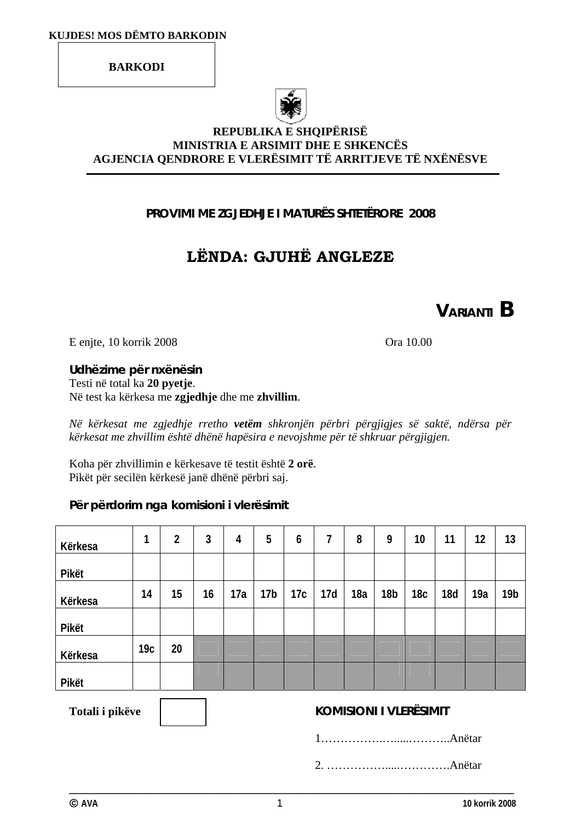**BARKODI** 



 $\Box$ 

#### **REPUBLIKA E SHQIPËRISË MINISTRIA E ARSIMIT DHE E SHKENCËS AGJENCIA QENDRORE E VLERËSIMIT TË ARRITJEVE TË NXËNËSVE**

# **PROVIMI ME ZGJEDHJE I MATURËS SHTETËRORE 2008**

# **LËNDA: GJUHË ANGLEZE**

**VARIANTI B**

E enjte, 10 korrik 2008 Ora 10.00

**Udhëzime për nxënësin**  Testi në total ka **20 pyetje**. Në test ka kërkesa me **zgjedhje** dhe me **zhvillim**.

*Në kërkesat me zgjedhje rretho vetëm shkronjën përbri përgjigjes së saktë, ndërsa për kërkesat me zhvillim është dhënë hapësira e nevojshme për të shkruar përgjigjen.* 

Koha për zhvillimin e kërkesave të testit është **2 orë**. Pikët për secilën kërkesë janë dhënë përbri saj.

**Për përdorim nga komisioni i vlerësimit** 

| Kërkesa | 1               | 2  | 3  | 4   | 5               | 6   | 7   | 8   | 9               | 10              | 11         | 12  | 13              |
|---------|-----------------|----|----|-----|-----------------|-----|-----|-----|-----------------|-----------------|------------|-----|-----------------|
| Pikët   |                 |    |    |     |                 |     |     |     |                 |                 |            |     |                 |
| Kërkesa | 14              | 15 | 16 | 17a | 17 <sub>b</sub> | 17c | 17d | 18a | 18 <sub>b</sub> | 18 <sub>c</sub> | <b>18d</b> | 19a | 19 <sub>b</sub> |
| Pikët   |                 |    |    |     |                 |     |     |     |                 |                 |            |     |                 |
| Kërkesa | 19 <sub>c</sub> | 20 |    |     |                 |     |     |     |                 |                 |            |     |                 |
| Pikët   |                 |    |    |     |                 |     |     |     |                 |                 |            |     |                 |

#### Totali i pikëve **bashmen i Totali i pikëve kOMISIONI I VLERËSIMIT**

1…………….….....………..Anëtar

2. …………….....………….Anëtar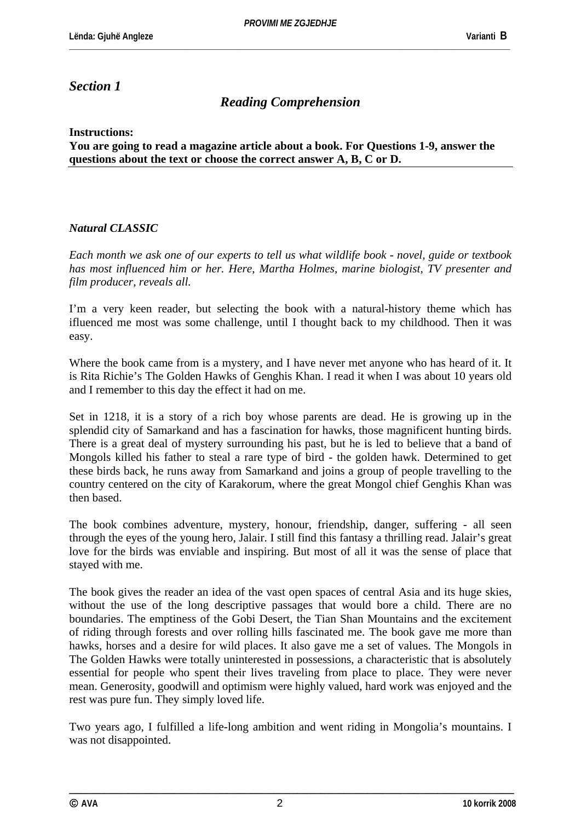# *Section 1*

# *Reading Comprehension*

**Instructions:**

**You are going to read a magazine article about a book. For Questions 1-9, answer the questions about the text or choose the correct answer A, B, C or D.** 

#### *Natural CLASSIC*

*Each month we ask one of our experts to tell us what wildlife book - novel, guide or textbook has most influenced him or her. Here, Martha Holmes, marine biologist, TV presenter and film producer, reveals all.* 

I'm a very keen reader, but selecting the book with a natural-history theme which has ifluenced me most was some challenge, until I thought back to my childhood. Then it was easy.

Where the book came from is a mystery, and I have never met anyone who has heard of it. It is Rita Richie's The Golden Hawks of Genghis Khan. I read it when I was about 10 years old and I remember to this day the effect it had on me.

Set in 1218, it is a story of a rich boy whose parents are dead. He is growing up in the splendid city of Samarkand and has a fascination for hawks, those magnificent hunting birds. There is a great deal of mystery surrounding his past, but he is led to believe that a band of Mongols killed his father to steal a rare type of bird - the golden hawk. Determined to get these birds back, he runs away from Samarkand and joins a group of people travelling to the country centered on the city of Karakorum, where the great Mongol chief Genghis Khan was then based.

The book combines adventure, mystery, honour, friendship, danger, suffering - all seen through the eyes of the young hero, Jalair. I still find this fantasy a thrilling read. Jalair's great love for the birds was enviable and inspiring. But most of all it was the sense of place that stayed with me.

The book gives the reader an idea of the vast open spaces of central Asia and its huge skies, without the use of the long descriptive passages that would bore a child. There are no boundaries. The emptiness of the Gobi Desert, the Tian Shan Mountains and the excitement of riding through forests and over rolling hills fascinated me. The book gave me more than hawks, horses and a desire for wild places. It also gave me a set of values. The Mongols in The Golden Hawks were totally uninterested in possessions, a characteristic that is absolutely essential for people who spent their lives traveling from place to place. They were never mean. Generosity, goodwill and optimism were highly valued, hard work was enjoyed and the rest was pure fun. They simply loved life.

Two years ago, I fulfilled a life-long ambition and went riding in Mongolia's mountains. I was not disappointed.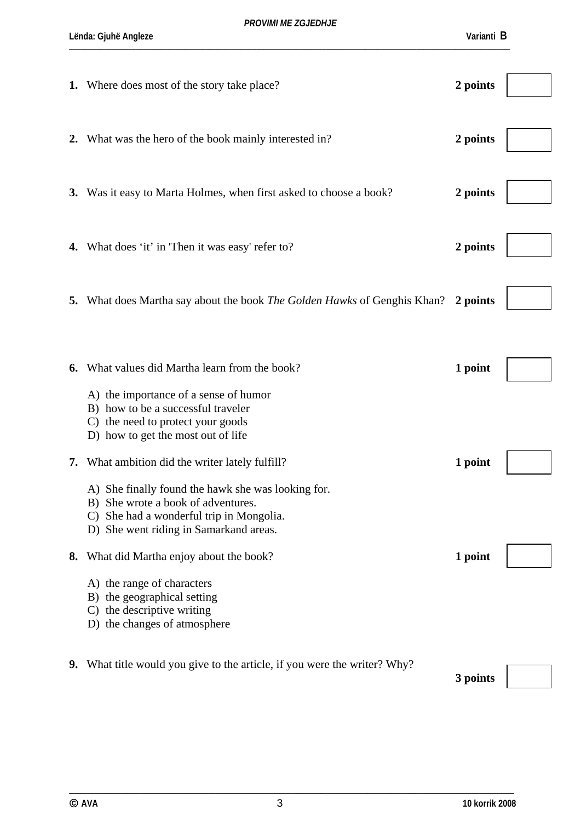|    | 1. Where does most of the story take place?                                                                                                                                                                                | 2 points |  |
|----|----------------------------------------------------------------------------------------------------------------------------------------------------------------------------------------------------------------------------|----------|--|
|    | 2. What was the hero of the book mainly interested in?                                                                                                                                                                     | 2 points |  |
|    | 3. Was it easy to Marta Holmes, when first asked to choose a book?                                                                                                                                                         | 2 points |  |
|    | 4. What does 'it' in 'Then it was easy' refer to?                                                                                                                                                                          | 2 points |  |
|    | 5. What does Martha say about the book <i>The Golden Hawks</i> of Genghis Khan? 2 points                                                                                                                                   |          |  |
| 6. | What values did Martha learn from the book?<br>A) the importance of a sense of humor<br>B) how to be a successful traveler<br>C) the need to protect your goods                                                            | 1 point  |  |
| 7. | D) how to get the most out of life<br>What ambition did the writer lately fulfill?<br>A) She finally found the hawk she was looking for.<br>B) She wrote a book of adventures.<br>C) She had a wonderful trip in Mongolia. | 1 point  |  |
|    | D) She went riding in Samarkand areas.<br>8. What did Martha enjoy about the book?<br>A) the range of characters<br>B) the geographical setting<br>C) the descriptive writing<br>D) the changes of atmosphere              | 1 point  |  |
|    | <b>9.</b> What title would you give to the article, if you were the writer? Why?                                                                                                                                           | 3 points |  |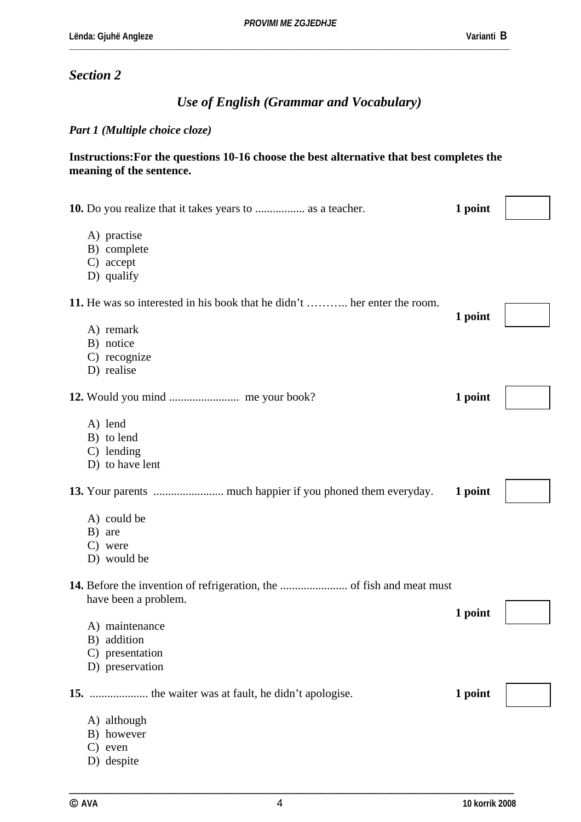### *Section 2*

# *Use of English (Grammar and Vocabulary)*

#### *Part 1 (Multiple choice cloze)*

#### **Instructions:For the questions 10-16 choose the best alternative that best completes the meaning of the sentence.**

| <b>10.</b> Do you realize that it takes years to  as a teacher.          | 1 point |  |
|--------------------------------------------------------------------------|---------|--|
| A) practise<br>B) complete<br>C) accept<br>D) qualify                    |         |  |
| 11. He was so interested in his book that he didn't  her enter the room. | 1 point |  |
| A) remark<br>B) notice<br>C) recognize<br>D) realise                     |         |  |
|                                                                          | 1 point |  |
| A) lend<br>B) to lend<br>C) lending<br>D) to have lent                   |         |  |
|                                                                          | 1 point |  |
| A) could be<br>B) are<br>C) were<br>D) would be                          |         |  |
| have been a problem.                                                     |         |  |
| A) maintenance<br>B) addition<br>C) presentation<br>D) preservation      | 1 point |  |
|                                                                          | 1 point |  |
| A) although<br>B) however<br>$C$ ) even<br>D) despite                    |         |  |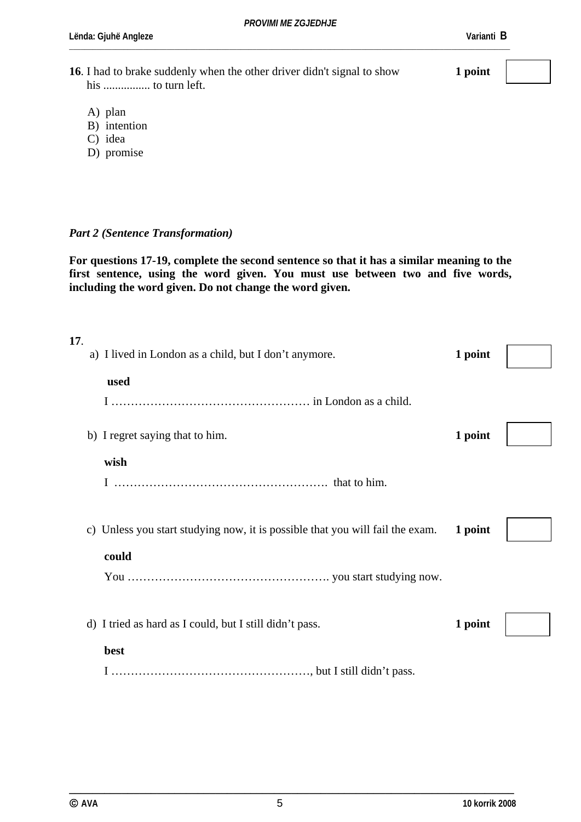*PROVIMI ME ZGJEDHJE* 

\_\_\_\_\_\_\_\_\_\_\_\_\_\_\_\_\_\_\_\_\_\_\_\_\_\_\_\_\_\_\_\_\_\_\_\_\_\_\_\_\_\_\_\_\_\_\_\_\_\_\_\_\_\_\_\_\_\_\_\_\_\_\_\_\_\_\_\_\_\_\_\_\_\_\_\_\_\_\_\_\_\_\_\_\_\_\_\_\_\_\_\_\_\_\_\_\_\_\_\_\_\_\_\_\_\_\_\_\_\_\_\_\_

**Lënda: Gjuhë Angleze Varianti B** 

**16**. I had to brake suddenly when the other driver didn't signal to show **1 point** his ................ to turn left.

- A) plan
- B) intention
- C) idea
- D) promise

#### *Part 2 (Sentence Transformation)*

**For questions 17-19, complete the second sentence so that it has a similar meaning to the first sentence, using the word given. You must use between two and five words, including the word given. Do not change the word given.** 

| 17. |    | a) I lived in London as a child, but I don't anymore.                      | 1 point |  |
|-----|----|----------------------------------------------------------------------------|---------|--|
|     |    | used                                                                       |         |  |
|     |    |                                                                            |         |  |
|     |    | b) I regret saying that to him.                                            | 1 point |  |
|     |    | wish                                                                       |         |  |
|     |    |                                                                            |         |  |
|     | C) | Unless you start studying now, it is possible that you will fail the exam. | 1 point |  |
|     |    | could                                                                      |         |  |
|     |    |                                                                            |         |  |
|     |    | d) I tried as hard as I could, but I still didn't pass.                    | 1 point |  |
|     |    | best                                                                       |         |  |
|     |    |                                                                            |         |  |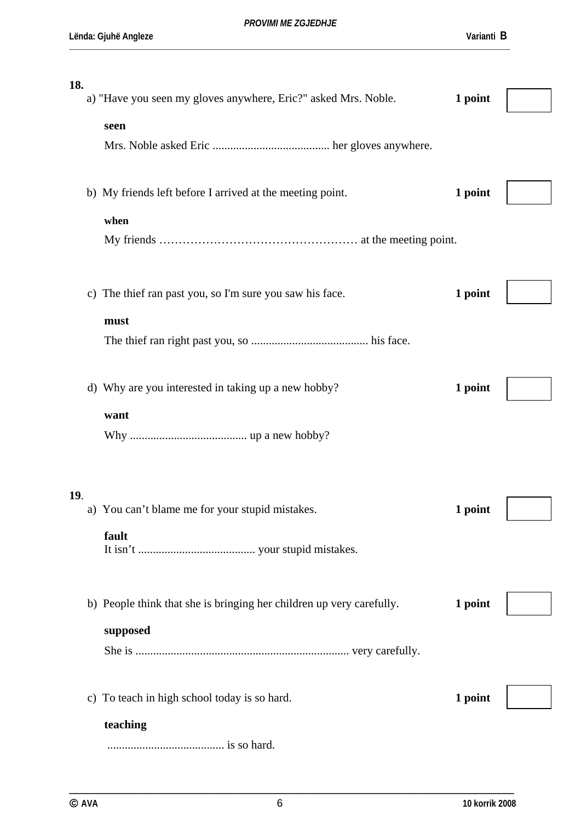| 18. |  |                                                                      |         |  |  |  |
|-----|--|----------------------------------------------------------------------|---------|--|--|--|
|     |  | a) "Have you seen my gloves anywhere, Eric?" asked Mrs. Noble.       | 1 point |  |  |  |
|     |  |                                                                      |         |  |  |  |
|     |  | seen                                                                 |         |  |  |  |
|     |  |                                                                      |         |  |  |  |
|     |  |                                                                      |         |  |  |  |
|     |  | b) My friends left before I arrived at the meeting point.            | 1 point |  |  |  |
|     |  |                                                                      |         |  |  |  |
|     |  | when                                                                 |         |  |  |  |
|     |  |                                                                      |         |  |  |  |
|     |  |                                                                      |         |  |  |  |
|     |  |                                                                      |         |  |  |  |
|     |  | c) The thief ran past you, so I'm sure you saw his face.             | 1 point |  |  |  |
|     |  | must                                                                 |         |  |  |  |
|     |  |                                                                      |         |  |  |  |
|     |  |                                                                      |         |  |  |  |
|     |  |                                                                      |         |  |  |  |
|     |  | d) Why are you interested in taking up a new hobby?                  | 1 point |  |  |  |
|     |  |                                                                      |         |  |  |  |
|     |  | want                                                                 |         |  |  |  |
|     |  |                                                                      |         |  |  |  |
|     |  |                                                                      |         |  |  |  |
|     |  |                                                                      |         |  |  |  |
| 19. |  |                                                                      |         |  |  |  |
|     |  | a) You can't blame me for your stupid mistakes.                      | 1 point |  |  |  |
|     |  | fault                                                                |         |  |  |  |
|     |  |                                                                      |         |  |  |  |
|     |  |                                                                      |         |  |  |  |
|     |  |                                                                      |         |  |  |  |
|     |  | b) People think that she is bringing her children up very carefully. | 1 point |  |  |  |
|     |  |                                                                      |         |  |  |  |
|     |  | supposed                                                             |         |  |  |  |
|     |  |                                                                      |         |  |  |  |
|     |  |                                                                      |         |  |  |  |
|     |  | c) To teach in high school today is so hard.                         | 1 point |  |  |  |
|     |  |                                                                      |         |  |  |  |
|     |  | teaching                                                             |         |  |  |  |
|     |  |                                                                      |         |  |  |  |
|     |  |                                                                      |         |  |  |  |